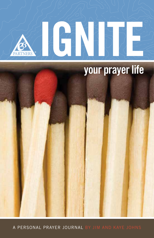

a personal prayer journal by Jim and Kaye Johns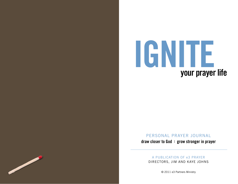

personal prayer journal

draw closer to God : grow stronger in prayer

A publication of e3 Prayer Directors, Jim and Kaye Johns

<u>and</u> de la segunda de la segunda de la segunda de la segunda de la segunda de la segunda de la segunda de la s<br>De la segunda de la segunda de la segunda de la segunda de la segunda de la segunda de la segunda de la segund

© 2011 e3 Partners Ministry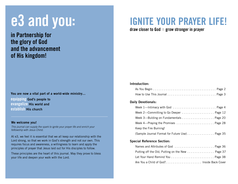# e3 and you:

in Partnership for the glory of God and the advancement of His kingdom!

#### You are now a vital part of a world-wide ministry...

equipping God's people to evangelize His world and establish His church

#### We welcome you!

This journal can supply the spark to ignite your prayer life and enrich your felllowship with Jesus Chirst.

At e3, we feel it is essential that we all keep our relationship with the Lord strong, so that we work in God's strength and not our own. This requires focus and awareness, a willingness to learn and apply the principles of prayer that Jesus laid out for His disciples to follow.

These principles are the heart of this journal. May they prove to bless your life and deepen your walk with the Lord.

# Ignite Your Prayer Life!

draw closer to God : grow stronger in prayer

#### Introduction:

#### Daily Devotionals:

| Week 4-Praying the Promises  Page 28           |  |
|------------------------------------------------|--|
| Keep the Fire Burning!                         |  |
| (Sample Journal Format for Future Use) Page 35 |  |

#### Special Reference Section:

| Are You a Child of God?Inside Back Cover |  |
|------------------------------------------|--|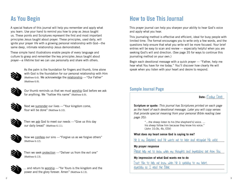# As You Begin

A special feature of this journal will help you remember and apply what you learn. Use your hand to remind you how to pray as Jesus taught us. These points and Scriptures represent the first and most important principles Jesus taught about prayer. These principles, used daily, will ignite your prayer life with a growing personal relationship with God—the same deep, intimate relationship Jesus demonstrated.

These simple hand illustrations enable people of every language and culture to grasp and remember the key principles Jesus taught about prayer—a lifetime tool we can use personally and share with others.



As the palm is the foundation for fingers and thumb, time alone with God is the foundation for our personal relationship with Him (Matthew 6:6). We acknowledge the relationship —"Our Father" (Matthew 6:9).



Our thumb reminds us that we must worship God before we ask for anything. We "hallow His name" (Matthew 6:9).



Next we surrender our lives —"Your kingdom come, Your will be done" (Matthew 6:10).



Then we ask God to meet our needs —"Give us this day our daily bread" (Matthew 6:11).



Now we confess our sins - "Forgive us as we forgive others" (Matthew 6:12).



Then we seek protection —"Deliver us from the evil one" (Matthew 6:13).



... and return to worship — "for Yours is the kingdom and the power and the glory forever. Amen" (Matthew 6:13).

# How to Use This Journal

This prayer journal can help you sharpen your ability to hear God's voice and apply what you hear.

This journaling method is effective and efficient, ideal for busy people with limited time. The format encourages you to write only a few words, and the questions help ensure that what you write will be more focused. Your brief entries will be easy to scan and review — especially helpful when you are seeking God's will and direction. (See page 35 for ways to continue this journaling method on your own.)

Begin each devotional message with a quick prayer — "Father, help me hear what You have for me today." You'll discover how clearly He will speak when you listen with your heart and desire to respond.

### Sample Journal Page

#### **Date:** (Todays Date)

Scripture or quote: This journal has Scriptures printed on each page as the heart of each devotional message. Later you will copy verses that provide special meaning from your personal Bible reading (see page 35):

> "…the sheep listen to his [the shepherd's] voice. … his sheep follow him because they know his voice." (John 10:3b, 4b, ESV)

#### **What does my heart sense God is saying to me?**

He is my Shepherd, and He wants me to hear and recognize His voice.

#### **My prayer response**

Please help me to know when my thoughts and impressions are from You.

#### **My impression of what God wants me to do**

Trust Him to help me know when He is speaking to my heart, especially as I read the Bible.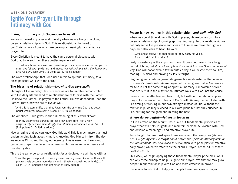# WEEK ONE OVERVIEW Ignite Your Prayer Life through Intimacy with God

#### Living in intimacy with God—open to us all

We are strongest in prayer and ministry when we are living in a close, personal relationship with God. This relationship is the heart of our Christian walk from which we develop a meaningful and effective prayer life.

Every Christian is meant to have the same personal closeness with God that John and the other apostles experienced.

 …that which we have seen and heard we proclaim also to you, so that you too may have fellowship with us; and indeed our fellowship is with the Father and with his Son Jesus Christ. (1 John 1:3-4, italics added)

The word "fellowship" that John used refers to spiritual intimacy, to a close personal walk with the Lord.

#### The blessing of relationship—knowing God personally

Throughout His ministry, Jesus (whom we are to imitate) demonstrated with His daily life the kind of relationship we're to have with the Father. He knew the Father. He prayed to the Father. He was dependent upon the Father. That's how we are to live as well:

"And this is eternal life, that they *know* you, the only true God, and Jesus Christ whom you have sent." (John 17:3, italics added)

The Amplified Bible gives us the full meaning of this word "know":

[For my determined purpose is] that I may know Him [that I may progressively become more deeply and intimately acquainted with Him….] (Philippians 3:10, italics added)…

How amazing that we can know God this way! This is much more than just understanding facts about Him. It is knowing God Himself—from the day we receive Christ and throughout eternity. This is essential if we want to ignite our prayer lives to set us ablaze for Him as we minister, serve and live day by day.

This is the same personal relationship Jesus declared He will have with us:

"I am the good shepherd. I know my sheep and my sheep know me [they will progressively become more deeply and intimately acquainted with Me]…." (John 10:14, emphasis and definition of know added)

#### Prayer is how we live in this relationship—and walk with God

When we spend time alone with God in prayer, He welcomes us into a personal relationship of growing spiritual intimacy. In this relationship we not only sense His presence and speak to Him as we move through our days, but also learn to hear His voice:

...the sheep follow [the shepherd], for they know his voice. (John 10:4-5, italics added)

Daily consistency is the important thing. It does not have to be a long period of time, but it is not an option if we want to know God in a personal way. God will honor even a few minutes a day if we devote them to Him. reading His Word and praying as Jesus taught.

Beginning and continuing—igniting—such a relationship is the focus of this week's devotionals. As we begin, let us recognize that active service for God is not the same thing as spiritual intimacy. Empowered service that bears fruit is the *result* of an intimate walk with God, not the cause.

Service can be effective and bear fruit, but without the relationship we may not experience the fullness of God's will. We may be out of step with His timing or working in our own strength instead of His. Without the relationship, we may succeed in our own plans but not fully succeed in His, settling for the good and missing the best.

#### Where do we begin?-let Jesus teach us

In His Sermon on the Mount, Jesus laid out fundamental principles of prayer that will help us ignite and maintain personal fellowship with God and develop a meaningful and effective prayer life.

Jesus taught that we must spend time alone with God every day (Matthew 6:6). Everything else He taught about prayer and spiritual intimacy rests on this requirement. Jesus followed this revelation with principles for effective daily prayer, which we refer to as the "Lord's Prayer" or the "Our Father" (Matthew 6:9-13).

This week, we begin applying these fundamental prayer principles. We'll see why these principles help us ignite our prayer lives that we may grow deeper in our relationship with God and more effective in prayer.

Pause now to ask God to help you to apply these principles of prayer….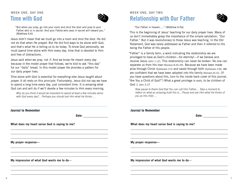# Week One, Day One Time with God



"But when you pray, go into your room and shut the door and pray to your Father who is in secret. And your Father.who sees in secret will reward you." (Matthew 6:6)

Jesus didn't mean that we must go into a room and shut the door. He did not do that when He prayed. But He did find ways to be alone with God, and that's what He is telling us to do today. To know God personally, we must spend time alone with Him every day, time that is devoted to Him and free of distractions.

Jesus said when we pray, not if. And we know He meant every day because in the model prayer that follows, we're told to ask "this day" for our "daily" bread. In this model prayer He provides a pattern for our daily prayer lives.

Time alone with God is essential for everything else Jesus taught about prayer. It all rests on this principle. Fortunately, Jesus did not say we have to spend a long time every day, just consistent time. It is amazing what God can and will do if we'll devote a few minutes to Him every morning.

Why do you think it would be important to spend at least a few minutes alone with God every day?... Perhaps you should ask Him what He thinks....

Week One, Day Two Relationship with Our Father



"Our Father in heaven…." (Matthew 6:9a)

This is the beginning of Jesus' teaching for our daily prayer lives. Many of us don't immediately grasp the importance of the simple salutation, "Our Father." But it was revolutionary to those Jesus was teaching. In the Old Testament, God was rarely addressed as Father and then it referred to His being the Father of His people.

"Father" is a family term, a word indicating the relationship we are privileged to have as God's children—for eternity!—if we believe and receive Jesus (John 1:12). This relationship can never be broken. No one can separate us from His love (Romans 8:35-39). Because we have been made alive through Christ (Ephesians 2:5) and saved through faith (Ephesians 2:8), we are confident that we have been adopted into His family (Romans 8:15). (If you have questions about this, turn to the inside back cover of this journal, "Are You a Child of God?") What a great privilege is ours, to be children of God (1 John 3:1)!

Now pause to thank God that You can call Him Father.... Take a moment to reflect on what an amazing truth this is....Pause and ask Him what He thinks of you as His child….

| Journal to Remember                           | <b>Journal to Remember</b>                    |
|-----------------------------------------------|-----------------------------------------------|
| Date:                                         | Date:                                         |
| What does my heart sense God is saying to me? | What does my heart sense God is saying to me? |
| My prayer response-                           | My prayer response-                           |
| My impression of what God wants me to do-     | My impression of what God wants me to do-     |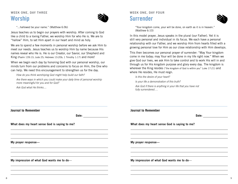### Week One, Day Three Worship



"...hallowed be your name." (Matthew 6:9b)

Jesus teaches us to begin our prayers with worship. After coming to God like a child to a loving Father, we worship Him for who He is. We are to "hallow" Him, to set Him apart in our heart and mind as holy.

We are to spend a few moments in personal worship before we ask Him to meet our needs. Jesus teaches us to worship Him by name because His names reveal who He is. He is our Creator, our Savior, our Shepherd and King (Psalm 139:13; Jude 25; Hebrews 13:20b; 1 Timothy 1:17) and more!

When we begin each day by honoring God with our personal worship, our minds turn from our problems and concerns to focus on Him, the One who can help. We need this encouragement to strengthen us for the day.

How do you think worshiping God might help build our faith?

Are there ways in which you could make your daily time of personal worship more meaningful for you and for God?

Ask God what He thinks....

### Week One, Day Four Surrender



"Your kingdom come, your will be done, on earth as it is in heaven." (Matthew 6:10)

In this model prayer, Jesus speaks in the plural (our Father). Yet it is still very personal and individual in its focus. We each have a personal relationship with our Father, and we worship Him from hearts filled with a growing personal love for Him as our close relationship with Him develops.

This then becomes our personal prayer of surrender: "May Your kingdom come in me today; may Your will be done in my life right now." When we give God our lives, we ask Him to take control and to work His will in and through us for His kingdom purpose and glory every day. The kingdom is wherever the King resides ("the kingdom of God is within you" Luke 17:21) and where He resides, He must reign.

Is this the desire of your heart?

Is your life a demonstration of this truth?

Ask God if there is anything in your life that you have not fully surrendered….

| <b>Journal to Remember</b>                                                                              | <b>Journal to Remember</b>                    |
|---------------------------------------------------------------------------------------------------------|-----------------------------------------------|
| Date:                                                                                                   | Date:                                         |
| What does my heart sense God is saying to me?                                                           | What does my heart sense God is saying to me? |
| ,我们也不会有什么。""我们的人,我们也不会有什么?""我们的人,我们也不会有什么?""我们的人,我们也不会有什么?""我们的人,我们也不会有什么?""我们的人<br>My prayer response- | My prayer response-                           |
| My impression of what God wants me to do-                                                               | My impression of what God wants me to do-     |
|                                                                                                         |                                               |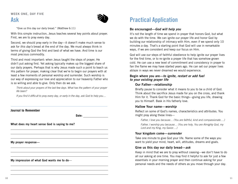# Ask



"Give us this day our daily bread." (Matthew 6:11)

With this simple instruction, Jesus teaches several key points about prayer. First, we are to pray every day.

Second, we should pray early in the day—it doesn't make much sense to ask for this day's bread at the end of the day. We must always think in terms of giving God the first and best of what we have. And time is our most precious commodity.

Third and most important: when Jesus taught the steps of prayer, He didn't put asking first. Yet asking typically makes up the biggest share of our daily prayers. Perhaps that is why Jesus made such a point to teach us His pattern for prayer, making clear that we're to begin our prayers with at least a few moments of personal worship and surrender. Such worship is our way of expressing our love and appreciation to our heavenly Father who is so willing and able to give. Only then do we ask.

Think about your prayers of the last few days. What has the pattern of your prayer life been?

If you find it difficult to pray every day, or early in the day, ask God to help you....

**Journal to Remember**

**Date:**

What does my heart sense God is saying to me?

My prayer response—

My impression of what God wants me to do—

# Practical Application

#### Be encouraged—God will help you

It's not the length of time we spend in prayer that honors God, but what we do with the time. We can ignite our prayer life and honor God by building our relationship of intimacy with Him, even if we spend only 10 minutes a day. That's a starting point that God will use in remarkable ways, if we are consistent and keep our focus on Him.

God will use our steps of faithful obedience to help ignite our prayer lives for the first time, or to re-ignite a prayer life that has somehow grown cold. He can use a new level of commitment and consistency in prayer to fan the flame we may have started years ago. He can set our prayer lives ablaze in ways we never dreamed we would experience.

#### Begin where you are—to ignite, restart or add fuel to your existing prayer life

#### Our Father—relationship

Briefly pause to consider what it means to you to be a child of God. Think about the sacrifice Jesus made for you on the cross, and thank Him for it. Thank God for the basic things—giving you life, drawing you to Himself. Bask in His fatherly love.

#### Hallow Your name—worship

Reflect on some of God's names, characteristics and attributes. You might pray along these lines—

Father, I love you because… (You are faithful, kind and compassionate….)

Father, I worship you because… (You are holy, You are Almighty God, my Lord and my King, my Savior….)

#### Your kingdom come—surrender

Take one minute to give God your life. Name some of the ways you want to yield your mind, heart, will, attitudes, dreams and goals.

#### Give us this day our daily bread—ask

Keep in mind that we are to pray without ceasing—we don't have to do all our asking at one time. You may find it helpful to ask for just a few essentials in your morning prayer and then continue asking for your personal needs and the needs of others as you move through your day.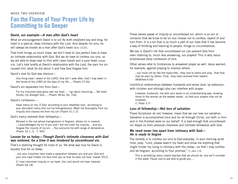# WEEK TWO OVERVIEW Fan the Flame of Your Prayer Life by Committing to Go Deeper

#### David, our example—A man after God's heart

What an encouragement David is to us! As both shepherd boy and king, he lived in a special, deep intimacy with the Lord. And despite his sins, he will always be known as a man after God's heart (Acts 13:22).

That truth brings us much hope: we don't have to live perfect lives to have an intimate relationship with God. But we do have to confess our sins, so we are able to draw near to Him with clean hands and a pure heart (James 4:8). Let's look briefly at David's relationship with the Lord, the pain his sin caused him, what he did about it and how God forgave him:

David's love for God was obvious—

One thing have I asked of the LORD, that will I seek after: that I may dwell in the house of the LORD all the days of my life…. (Psalm 27:4a)

David's sin separated him from God—

For my iniquities have gone over my head…. I go about mourning…. My heart throbs; my strength fails…. (Psalm 38:4a, 6b, 10a)

#### David's confession—

Have mercy on me, O God, according to your steadfast love; according to your abundant mercy blot out my transgressions. Wash me thoroughly from my iniquity and cleanse me from my sin! (Psalm 51:1-2)

#### God's mercy restored their fellowship—

Blessed is the one whose transgression is forgiven, whose sin is covered. ...I acknowledged my sin to you and I did not cover my iniquity; ...and you forgave the iniquity of my sin. ...You surround me with songs of deliverance. (Psalm 32:1, 5, 7, NIV)

#### Lesson for us today—Though David's intimate closeness with God was restored, for a time it was hindered by unconfessed sin.

That's a startling thought for most of us. Yet what was true for David is equally true for us today:

…but your iniquities have made a separation between you and your God and your sins have hidden his face from you so that he does not hear. (Isaiah 59:2)

If I had cherished iniquity in my heart, the Lord would not have listened. (Psalm 66:18)

These verses speak of *iniquity* or *unconfessed sin*, which is an act or omission that we know to be sin but choose not to confess, repent of and turn from. It is a sin that is so much a part of our lives that it has become a way of thinking and reacting to people, things or circumstances.

We see in David's life that unconfessed sin can prevent God from even listening to, much less answering, our prayers! This is why Jesus emphasized daily confession of sins.

Other verses refer to hindrances to answered prayer as well. Jesus warned, for example, against praying to impress others:

...you must not be like the hypocrites...they love to stand and pray...that they may be seen by others. Truly...they have received their reward. (Matthew 6:5b)

Unbiblical relationships between husbands and wives (and, by extension, with children and siblings) also can interfere with prayer:

Likewise, husbands, live with your wives in an understanding way, showing honor to the woman as the weaker vessel...so that your prayers may not be hindered.

(1 Peter 3:7)

#### Loss of fellowship—Not loss of salvation

These Scriptures do not, however, mean that we can lose our salvation. Salvation is accomplished once and for all through Christ, our faith in Him and in His finished work on our behalf. It is bad enough that unconfessed sin keeps us from personal closeness and intimate fellowship with God.

#### We need never live apart from intimacy with God— He is ready to forgive

The remedy is to confess our sins to God everyday. In your morning quiet time, pray: "Lord, please search my heart and show me anything that might hinder my living in intimacy with You today—so that I may confess and be forgiven, according to Your promise." (1 John 1:9)

This is something Jesus clearly teaches that we should do, and we'll consider it this week. Pause now to ask God to guide you….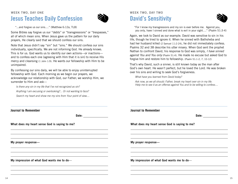### Week Two, Day One Jesus Teaches Daily Confession



"...and forgive us our sins…." (Matthew 6:12a, TLB)

Some Bibles say forgive us our "debts" or "transgressions" or "trespasses," all of which mean sins. When Jesus gave us the pattern for our daily prayers, He clearly said that we should confess our sins.

Note that Jesus didn't say "sin" but "sins." We should confess our sins individually, specifically. We are not informing God. He already knows. This is for us. God wants us to identify our own actions—or inactions and to confess each one (agreeing with Him that it is sin) to receive His mercy and cleansing (1 John 1:9). He wants our fellowship with Him to be unimpaired.

By confessing our sins daily, we will be able to enjoy uninterrupted fellowship with God. Each morning as we begin our prayers, we acknowledge our relationship with God, our Father; we worship Him, we surrender to Him and ask—

Is there any sin in my life that I've not recognized as sin? Anything I am excusing or overlooking?... Or not wanting to face? Search my heart and show me my sins from Your point of view....

### Week Two, Day Two David's Sensitivity



"For I know my transgressions and my sin is ever before me. Against you, you only, have I sinned and done what is evil in your sight…." (Psalm 51:3-4)

Again, we look to David as our example. David was sensitive to sin in his life, though he tried to ignore it. When he sinned with Bathsheba and had her husband killed (2 Samuel 11:2-24), he did not immediately confess. Psalms 32 and 38 describe his utter misery. When God sent the prophet Nathan to confront David, his response to God was simply, I have sinned against You and You only (Psalm 51:4). He made no excuse but asked God to forgive him and restore him to fellowship. (Psalm 51:1-2, 7, 10-12)

That's why David, such a sinner, is still known today as the man after God's own heart. He wasn't perfect, but he loved the Lord. He was broken over his sins and willing to seek God's forgiveness.

What have you learned from David today?

Ask now, as we all should: Father, break my heart over sin in my life. Help me to see it as an offense against You and to be willing to confess....

| <b>Journal to Remember</b>                    | <b>Journal to Remember</b>                    |
|-----------------------------------------------|-----------------------------------------------|
| Date:                                         | Date:                                         |
| What does my heart sense God is saying to me? | What does my heart sense God is saying to me? |
| My prayer response-                           | My prayer response-                           |
| My impression of what God wants me to do-     | My impression of what God wants me to do-     |
|                                               |                                               |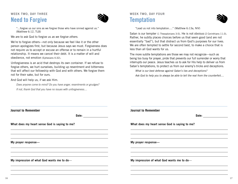# WEEK TWO, DAY THREE Need to Forgive



"...forgive us our sins as we forgive those who have sinned against us." (Matthew 6:12, TLB)

We are to ask God to forgive us as we forgive others.

We're to forgive others—not only because we feel like it or the other person apologizes first, but because Jesus says we must. Forgiveness does not require us to accept or excuse an offense or to remain in a hurtful relationship. It means we cancel their debt. It is a matter of will and obedience, not emotion (Ephesians 4:32).

Unforgiveness is an acid that destroys its own container. If we refuse to forgive others, we hurt ourselves, building up resentment and bitterness that will affect our fellowship with God and with others. We forgive them not for their sake, but for ours.

And God will help us, if we ask Him.

Does anyone come to mind? Do you have anger, resentments or grudges? If not, thank God that you have no issues with unforgiveness....

### Week Two, Day Four **Temptation**



"Lead us not into temptation…." (Matthew 6:13a, NIV)

Satan is our tempter (1 Thessalonians 3:5). He is not obvious (2 Corinthians 11:3). Rather, he subtly places choices before us that seem good (and are not essentially "bad"), but that distract us from God's purposes for our lives. We are often tempted to settle for second best, to make a choice that is less than all God wants for us.

The more subtle temptations are those we may not recognize—such as being too busy for prayer, pride that prevents our full surrender or worry that interrupts our peace. Jesus teaches us to ask for His help to deliver us from Satan's temptations, to protect us from our enemy's tricks and deceptions.

What is our best defense against Satan's lies and deceptions?

Ask God to help you to always be able to tell the real from the counterfeit....

| <b>Journal to Remember</b>                    | <b>Journal to Remember</b>                    |
|-----------------------------------------------|-----------------------------------------------|
| Date:                                         | Date:                                         |
| What does my heart sense God is saying to me? | What does my heart sense God is saying to me? |
| My prayer response-                           | My prayer response-                           |
| My impression of what God wants me to do-     | My impression of what God wants me to do-     |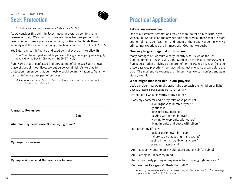# WEEK TWO, DAY FIVE Seek Protection



"...but deliver us from the evil one." (Matthew 6:13b)

As we consider this point in Jesus' model prayer, it's comforting to remember that, "We know that those who have become part of God's family do not make a practice of sinning, for God's Son holds them securely and the evil one cannot get his hands on them." (1 John 5:18, NLT)

Yet Satan can still influence and exert control over us, if we allow it:

"Don't let the sun go down while you are still angry, for anger gives a mighty foothold to the Devil." (Ephesians 4:26b-27, NLT)

Paul warns that unconfessed and unrepented of sin gives Satan a legal place of control in our lives. We put ourselves at risk. As we pray for protection, remember that our lifestyle could be an invitation to Satan to gain an influence over part of our lives.

Ask God for His protection, but first ask if there are issues in your life that put you at risk and must deal with....

|  | <b>Journal to Remember</b> |  |
|--|----------------------------|--|
|  |                            |  |

**Date:**

What does my heart sense God is saying to me?

My prayer response—

My impression of what God wants me to do—

# Practical Application

#### Taking sin seriously—

One of our greatest temptations may be to fail to take sin as seriouslyas we should. We focus on the obvious sins and overlook those that are more subtle, failing to confess them and repent of them and wondering why we still cannot experience the intimacy with God that we desire.

#### One way to guard against such sins—

Many passages of Scripture clearly identify sins—such as the Ten Commandments (Exodus 20:3-17), the Sermon on the Mount (Matthew 5-7) or Paul's description of living as children of light (Ephesians 4:17-6:9). Consider these passages prayerfully, perhaps taking just one verse a day before the Lord. The moment He exposes a sin in our lives, we can confess and gain victory over it.

#### What might that look like in our prayers?

Let's consider how we might prayerfully approach the "children of light" passage (beginning with Ephesians 4:1, 17-25, NIV)—

"Father, am I walking worthy of my calling?

"Does my character and do my relationships reflect—

a willingness to humble myself? gentleness? longsuffering, patience? bearing with others in love? working to keep unity with others? living in unity and peace with others?

"Is there in my life any—

lack of purity, even in thought? failure to care about right and wrong? giving in to immorality on any level? greed or materialism?

"Am I constantly putting off my old nature and any sinful habits?

"Am I letting You renew my mind?

"Am I consciously putting on my new nature, seeking righteousness?

"Do I ever lie? Exaggerate? Shade the truth?"

Reflect upon these questions, perhaps one per day, and look for other passages to prayerfully consider in this regard.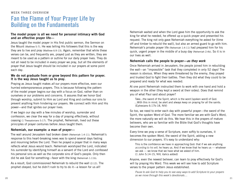# Week Three Overview Fan the Flame of Your Prayer Life by Building on the Fundamentals

#### The model prayer is all we need for personal intimacy with God and an effective prayer life—

Jesus taught the model prayer in His first public sermon, the Sermon on the Mount (Matthew 5-7). He was telling His followers that this is the way they are to live and pray (Matthew 6:9-13). Again, remember that while these verses can be, and frequently are, prayed just as they are written, they are meant to be used as a pattern or outline for our daily prayer lives. They do not all need to be included in every prayer we pray, but all the elements of prayer that Jesus taught should be included in our prayers at some point each day.

#### We do not graduate from or grow beyond this pattern for prayer. It is the way Jesus taught us to pray.

Praying as Jesus taught makes all our prayers more effective, even our hurried extemporaneous prayers. This is because following the pattern of the model prayer begins our day with a focus on God, rather than on ourselves or our problems and concerns. It assures that we honor God through worship, submit to Him as Lord and King and confess our sins to prevent anything from hindering our prayers. We connect with Him and His power—and that ignites our prayer lives.

If we begin our day with a few minutes of worship, surrender and confession, we clear the way for a day of praying effectively, without ceasing (1 Thessalonians 5:17). The prophet, Nehemiah, lived out these principles of prayer centuries before Jesus taught them.

#### Nehemiah, our example: a man of prayer—

The wall around Jerusalem had broken down (Nehemiah 1:4-11). Nehemiah's response to this heart-breaking news was to spend several days fasting and mourning before the Lord. Then he prayed a prayer that in many ways reflects what Jesus would teach. Nehemiah worshiped the Lord, indicated his surrender by identifying himself as a servant of the Lord and confessed his personal sins as well as the corporate sins of God's people. Only then did he ask God for something—favor with the king (Nehemiah 1:11b).

As a result, God commissioned Nehemiah to rebuild the wall (2:12). The prophet obeyed, but he didn't rush to try to do it—a lesson for us all!

Nehemiah waited and when the Lord gave him the opportunity to ask the king for what he needed, he offered up a quick prayer and presented his request. The king not only gave Nehemiah everything he asked for (time off and timber to rebuild the wall), but also an armed guard to go with him. Nehemiah's private prayer life (Nehemiah 1:4-11) had prepared him for his quick, urgent prayer in the middle of a busy day (Nehemiah 2:4b). So it is in our lives as well.

#### Nehemiah calls the people to prayer—as they work

Once Nehemiah arrived in Jerusalem, the people joined him in rebuilding the wall—an "impossible" task that they completed in only 52 days! The reason is obvious. When they were threatened by the enemy, they prayed and trusted God to fight their battles. Then they did what they could to be prepared and ready for what was needed.

At one point Nehemiah instructed them to work with one hand and hold a weapon in the other (they kept a sword at their sides). Does that remind you of what Paul said about prayer?

Take...the sword of the Spirit, which is the word [spoken word] of God. ...With this in mind, be alert and always keep on praying for all the saints. (Ephesians 6:17b-18, NIV)

So too, we need to enter each day with powerful prayer—the sword of the Spirit, the spoken Word of God. The more familiar we are with God's Word, the more naturally we will do this. We hear this in the prayers of mature believers, who are so familiar with the Bible that God's thoughts have become their own.

Every time we pray a verse of Scripture, even softly to ourselves, it becomes the spoken Word, the sword of the Spirit, adding a new dimension to our prayers. It's easy to understand why:

This is the confidence we have in approaching God: that if we ask anything according to his will, he hears us. And if we know that he hears us — whatever we ask — we know that we have what we asked of him. (1 John 5:14-15, NIV, italics added)

Anyone, even the newest believer, can learn to pray effectively for God's will by praying His Word. This week we will see how to add Scripture verses to the prayer pattern Jesus established.

Pause to ask God to help you to see easy ways to add Scripture to your prayers as we move through this week's devotionals....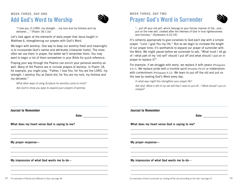# WEEK THREE, DAY ONE Add God's Word to Worship



"I love you, O LORD, my strength….my rock and my fortress and my deliverer…." (Psalm 18:1-2a)

Let's look again at the elements of daily prayer that Jesus taught in Matthew 6, strengthening our prayers with God's Word.

We begin with worship. One way to keep our worship fresh and meaningful is to incorporate God's names and attributes (character traits). The more often we use them in prayer, the better we'll remember them. You may want to begin a list of them somewhere in your Bible for quick reference.

Praying your way through the Psalms can enrich your personal worship as well. Many of the Psalms are or include prayers of worship. In Psalm 18, for example, you might pray, "Father, I love You, for You are the LORD, my strength. I worship You as David did, for You are my rock, my fortress and my deliverer."

What other ways of using Scripture for worship come to mind?

Ask God to show you ways to expand your prayers of worship.

### Week Three, Day Two Prayer God's Word in Surrender



"...put off your old self, which belongs to your former manner of life...and... put on the new self, created after the likeness of God in true righteousness and holiness." (Ephesians 4:22-24)

It's certainly appropriate to give ourselves to God each day with a simple prayer, "Lord, I give You my life." But as we begin to increase the length of our prayer time, it's worthwhile to expand our prayer of surrender with the Word. We might pause before we surrender to ask, "What must I let go of—what part of my 'old self' should I put off and what should I put on in prayer to replace it?"

For example, if we struggle with worry, we replace it with peace (Philippians 4:6-7). We replace pride with a humble spirit (Proverbs 29:23) or materialism with contentment (Philippians 4:12). We learn to put off the old and put on the new by reading God's Word every day.

In what way might this strengthen your prayer life?

Ask God: What is left of my old self that I need to put off...? What should I put on instead?

| <b>Journal to Remember</b><br>Date: <u>_______</u>                                                                                          | <b>Journal to Remember</b><br>Date:           |
|---------------------------------------------------------------------------------------------------------------------------------------------|-----------------------------------------------|
| What does my heart sense God is saying to me?                                                                                               | What does my heart sense God is saying to me? |
| <u> 1989 - Andrea Santa Andrea Andrea Andrea Andrea Andrea Andrea Andrea Andrea Andrea Andrea Andrea Andrea Andr</u><br>My prayer response- | My prayer response-                           |
| My impression of what God wants me to do-                                                                                                   | My impression of what God wants me to do-     |
|                                                                                                                                             |                                               |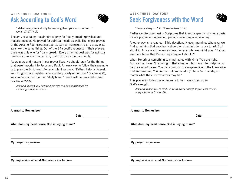# WEEK THREE, DAY THREE Ask According to God's Word



"Make them pure and holy by teaching them your words of truth." (John 17:17, NLT)

Though Jesus taught beginners to pray for "daily bread" (physical and material needs), He prayed for spiritual needs as well. The longer prayers of the Apostle Paul (Ephesians 1:16-19; 3:14-19; Philippians 1:9-11; Colossians 1:9- 12) show the same thing. Out of the 24 specific requests in their prayers, there was only one for "daily bread." Every other request was for spiritual needs such as spiritual growth, maturity, protection and unity.

As we grow and mature in our prayer lives, we should pray for the things that were important to Jesus and Paul. An easy way to follow their example is to pray the Scriptures. For example if we pray, "Father, help us to seek Your kingdom and righteousness as the priority of our lives" (Matthew 6:33), we can be assured that our "daily bread" needs will be provided as well (Matthew 6:25-32).

Ask God to show you how your prayers can be strengthened by including Scripture verses....

### Week Three, Day Four Seek Forgiveness with the Word



"Rejoice always…." (1 Thessalonians 5:17)

Earlier we discussed using Scriptures that identify specific sins as a basis for our prayers of confession, perhaps reviewing a verse a day.

Another way is to read our Bible devotionally each morning. Whenever we find something that we clearly should or shouldn't do, pause to ask God about it. As we read the verse above, for example, we might pray, "Father, are there times that I'm not rejoicing as I should?"

When He brings something to mind, agree with Him: "You are right. Forgive me. I wasn't rejoicing in that situation, but I want to. Help me to be the kind of person You can count on to always rejoice in the knowledge that You love me, You are faithful. You hold my life in Your hands, no matter what the circumstances may be."

This prayer includes the willingness to turn away from sin in God's strength.

Ask God to help you to read His Word slowly enough to give Him time to apply His truths to your life....

| <b>Journal to Remember</b>                    | <b>Journal to Remember</b>                    |
|-----------------------------------------------|-----------------------------------------------|
| Date:                                         | Date:                                         |
| What does my heart sense God is saying to me? | What does my heart sense God is saying to me? |
| My prayer response-                           | My prayer response-                           |
| My impression of what God wants me to do-     | My impression of what God wants me to do-     |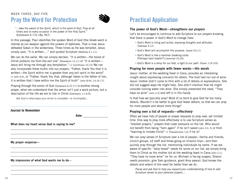# WEEK THREE, DAY FIVE Pray the Word for Protection



"...take the sword of the Spirit, which is the word of God. Pray at all times and on every occasion in the power of the Holy Spirit." (Ephesians 6:17b-18a, NLT)

In this passage, Paul identifies the spoken Word of God (the Greek word is rhema) as our weapon against the powers of darkness. That is how Jesus defeated Satan in the wilderness. Three times as He was tempted, Jesus simply said, "It is written...." and quoted Scripture (Matthew 4:1-11).

We can do the same. We can simply declare, "It is written—the blood of Christ protects me from the evil one" (Revelation 12:11) or "It is written— Jesus will bring me through any temptation." (1 Corinthians 10:13) We can also incorporate these truths into our prayers: "Father, thank You that it is written—the Spirit within me is greater than any evil spirit in the world" (1 John 4:4), or "Father, thank You that, although Satan is the father of lies, it is written that I have within me the Spirit of truth" (John 8:44; 14:16-17).

Praying through the armor of God (Ephesians 6:10-17) is another strong prayer, when we understand that the armor isn't just a word picture, but a description of the life we are to live in Christ (Ephesians 1:1-6:9).

Ask God in what ways your armor is complete—or incomplete....

**Journal to Remember**

**Date:**

What does my heart sense God is saying to me?

My prayer response—

My impression of what God wants me to do—

# Practical Application

#### The power of God's Word—strengthens our prayers

Let's be encouraged to continue to add Scripture to our prayers knowing that there is power in God's Word to change lives:

- God's Word is living and active, exposing thoughts and attitudes. (Hebrews 4:12)
- God's Word will accomplish His purpose. (Isaiah 55:11)
- God's Word is like a hammer breaking rocks [Perhaps hard hearts?!] (Jeremiah 23:29)
- God's Word is a lamp for our feet, a light to our path. (Psalm 119:105)

#### Praying for more people with fewer words—His words

Jesus' mother, at the wedding feast in Cana, provides an interesting insight about expressing concerns for others. The host had run out of wine. Jesus' mother didn't come to Him with a lot of details or explanations. She did not suggest ways He might help. She didn't mention that He might consider turning water into wine. She simply presented the need, "They have no wine" (John 2:3) and left it in His hands.

Is that how we typically pray? Most of us tend to give God far too many details. Wouldn't it be better to give God fewer details, so that we can pray for more people and about more things?

#### Praying over a list of requests—effectively

Often we have lists of people or prayer requests to pray over, yet limited time. One way to pray more effectively is to use Scripture verses as "blanket prayers," prayers that cover everyone on the list. Who would not benefit from being "born again" if he isn't saved (John 3:3, 5) or from "learning to imitate Christ" (1 Thessalonians 1:6) if he is?

We can pray verses of Scripture over a list of people—family and friends, church groups, e3 staff and those going on mission trips—and then quickly pray through the list, mentioning individuals by name. If we are aware of specific "daily bread" needs for some on our list, we simply bring them to Christ as His mother did at the wedding feast in Cana (John 2:1). "They have no more wine" (or for us: Michael is facing surgery, Sharon needs provision, give Sam guidance, grant Amy peace). God knows the details and extent of the need far better than we do.

Pause and ask God to help you expand your understanding of how to add Scripture verses to your personal prayers....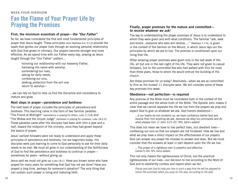# Week Four Overview Fan the Flame of Your Prayer Life by Praying the Promises

#### First, the minimum essentials of prayer—the "Our Father"

So far, we have considered the first and most fundamental principles of prayer that Jesus taught. These principles (from Matthew 6:6, 9-13) provide the spark that ignites our prayer lives through an evolving personal relationship with God that grows in intimacy. Our prayers become stronger and more effective. As we spend time with our Father every day, praying as Jesus taught through the "Our Father" pattern...

> honoring our relationship with our heavenly Father, hallowing His name with worship, surrendering our lives, asking for daily needs, confessing our sins, seeking *protection* from the evil one return to worship—

...we can rely on God to help us find the discipline and consistency to mature and grow.

#### Next steps in prayer—persistence and boldness

The next level of prayer includes the principles of persistence and boldness. This teaching came in the form of two familiar parables: "The Friend at Midnight" (persistence in praying for others, Luke 11:5-8) and "The Widow and the Unjust Judge" (boldness in praying for ourselves, Luke 18:2-5). These parables came after His disciples had been with Him a year and a half, toward the midpoint of His ministry, once they had grown beyond the basics of prayer.

Jesus' earliest followers were not ready to understand and apply these principles of persistence and boldness, nor are beginners today. His disciples were just learning to come to God personally to ask for their daily needs to be met. We must all grow in our understanding of the faithfulness of God to find the persistence and boldness to continue in prayer sometimes for years—without giving up.

Jesus said we must not give up (Luke 18:1). Have you known some who have prayed for many years for something that God has not yet done? Have you prayed a long time, perhaps for someone's salvation? The only thing that can sustain such prayer is living and maturing faith.

#### Finally, prayer promises for the mature and committed to receive whatever we ask!

The key to understanding the prayer promises of Jesus is to understand to whom they were given and with what conditions. The familiar "ask, seek and knock...everyone who asks will receive…." (Matthew 7:7-9), is given in the context of the Sermon on the Mount, in which Jesus lays out the principles by which we are to live. The promise is conditioned upon our living that life.

Other amazing prayer promises were given only in the last week of His life, all but one in the last night of His life. They were not given to casual followers, but to the committed few who had walked with Him for more than three years, those to whom He would entrust the building of His church.

Are these promises for us today? Absolutely—when we are as committed to Him as His trusted 11 disciples were. We will consider some of these key promises this week.

#### Obedience—not perfection—is required

Any promise of the Bible must be considered both in the context of the entire passage and the whole truth of the Bible. The Apostle John makes it clear that we cannot separate the life we live from the prayers we pray and expect God to give us whatever we ask. God honors obedience—

...if our hearts do not condemn us, we have confidence before God and receive from him anything we ask, because we obey his commands and do what pleases him. (1 John 3:21-22, NIV, italics added)

This does not mean we have to live perfect lives, but obedient lives confessing our sins so that our prayers are not hindered. How we live and what we pray have a direct impact on the effectiveness of our prayers. God can answer any prayer He chooses to answer and does. But we must consider that His answers at least in part depend upon the life we live.

... The prayer of a *righteous* man is powerful and effective (James 5:16b, NIV, italics added).

This not only means the righteousness of Christ, but the practical righteousness of our lives—our decision to live according to the Word of God and to obediently confess and repent when we fail.

Pause and ask God to help you live in such a way that He will be pleased to honor His promises when you pray (in His way, according to His will).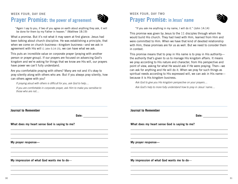### Week Four, Day One Prayer Promise: the power of agreement



"Again I say to you, if two of you agree on earth about anything they ask, it will be done for them by my Father in heaven." (Matthew 18:19)

What a promise. But it's not what it may seem at first glance. Jesus had been talking about church discipline. He was establishing a principle, that when we come on church business—kingdom business—and we ask in agreement with His will (1 John 5:14-15), we can have what we ask.

This puts an incredible value on corporate prayer (praying with another person or prayer group). If our prayers are focused on advancing God's kingdom and we're asking for things that we know are His will, our prayers have power we can't fully understand.

Are you comfortable praying with others? Many are not and it's okay to pray silently along with others who are. But if you always pray silently, how can others agree with you?

If praying aloud with others is difficult for you, ask God to help....

If you are comfortable in corporate prayer, ask Him to make you sensitive to those who are not....

### Week Four, Day Two Prayer Promise: in Jesus' name



"If you ask me anything in my name, I will do it." (John 14:14)

This promise was given by Jesus to the 11 disciples through whom He would build His church. They had lived with Him, learned from Him and were committed to Him. When we have that kind of devoted relationship with Him, these promises are for us as well. But we need to consider them in context.

This promise means that to pray in His name is to pray in His authority the authority that's given to us to manage His kingdom affairs. It means we pray according to His nature and character, from His perspective and point of view, asking for what He would ask if He were praying. Then—we can ask for anything and He will do it. When we pray for such things as spiritual needs according to His expressed will, we can ask in His name because it is His kingdom business.

Ask God to give you His kingdom perspective on your prayers....

Ask God's help to more fully understand how to pray in Jesus' name....

| <b>Journal to Remember</b><br>Date:           |
|-----------------------------------------------|
| What does my heart sense God is saying to me? |
| My prayer response-                           |
| My impression of what God wants me to do-     |
|                                               |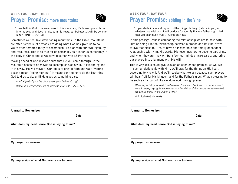### WEEK FOUR, DAY THREE Prayer Promise: move mountains



"Have faith in God. ...whoever says to this mountain, 'Be taken up and thrown into the sea,' and does not doubt in his heart, but believes...it will be done for him." (Mark 11:22-23)

Sometimes we feel like we're facing mountains. In the Bible, mountains are often symbolic of obstacles to doing what God has given us to do. We're often tempted to try to accomplish His plan with our own ingenuity and resources. This is as true for us personally as it is for us corporately in the body of Christ and as we serve together with e3 Partners.

Moving ahead of God reveals doubt that He will come through. If the mountain needs to be moved to accomplish God's will, in His timing and in His way, He will move it. Our job is to pray in faith and wait. Waiting doesn't mean "doing nothing." It means continuing to do the last thing God told us to do, until He gives us something else.

In what part of your life do you feel your faith is strong?

Where is it weak? Ask Him to increase your faith... (Luke 17:5).

| <b>WEEK FOUR, DAY FOUR</b>                 |  |
|--------------------------------------------|--|
| <b>Prayer Promise: abiding in the Vine</b> |  |



"If you abide in me and my words [the things He taught] abide in you, ask whatever you wish and it will be done for you. By this my Father is glorified, that you bear much fruit..." (John 15:7-8a)

In this passage Jesus is comparing the relationship we are to have with Him as being like the relationship between a branch and its vine. We're to live that close to Him, to have an inseparable and totally dependent relationship with Him. His words, His teachings, are to become part of us, and when they are, they will transform our minds (Romans 12:1-2) and bring our prayers into alignment with His will.

This is why Jesus could give us such an open-ended promise. As we live in such a relationship with Him, we'll pray for the things on His heart, according to His will. And we'll receive what we ask because such prayers will bear fruit for His kingdom and for the Father's glory. What a blessing to be such a vital part of His kingdom work through prayer.

What impact do you think it will have on the life and outreach of our ministry if we all begin praying for each other, our famileis and the people we serve—that we will be those who abide in Christ?

Ask God what He thinks...

| <b>Journal to Remember</b>                                                                                                                  | <b>Journal to Remember</b>                    |
|---------------------------------------------------------------------------------------------------------------------------------------------|-----------------------------------------------|
| Date:                                                                                                                                       | Date:                                         |
| What does my heart sense God is saying to me?                                                                                               | What does my heart sense God is saying to me? |
|                                                                                                                                             |                                               |
| <u> 1989 - Andrea Santa Andrea Andrea Andrea Andrea Andrea Andrea Andrea Andrea Andrea Andrea Andrea Andrea Andr</u><br>My prayer response- | My prayer response-                           |
|                                                                                                                                             |                                               |
| My impression of what God wants me to do-                                                                                                   | My impression of what God wants me to do-     |
|                                                                                                                                             |                                               |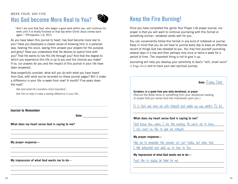### WEEK FOUR, DAY FIVE Has God become More Real to You?



"And I am sure that God, who began a good work within you, will continue his work until it is finally finished on that day when Christ Jesus comes back again." (Philippians 1:6, NLT)

As you have taken this journal to heart, has God become more real to you? Have you developed a clearer sense of knowing Him in a personal way, hearing His voice, seeing Him answer your prayers for His purpose and glory? Have you understood that He desires to spend time with you? That He wants to live His life through you? And that the degree to which you experience this life is up to you and the choices you make? If so, our prayers for you and the impact of this journal in your life have been answered.

Now prayerfully consider: what will you do with what you have heard from God, with what you've recorded on these journal pages? Will it make a difference in your life--a week from now? A month? Five years down the road?

Ask God what He considers most important...

Ask Him to help it make a lasting difference in your life...

**Journal to Remember**

**Date:**

What does my heart sense God is saying to me?

My prayer response—

My impression of what God wants me to do—

# Keep the Fire Burning!

Once you have completed the *Ignite Your Prayer Life* prayer journal, our prayer is that you will want to continue journaling with this format or something similar—whatever works well for you.

You can conveniently follow this format in any kind of notebook or journal. Keep in mind that you do not have to journal every day to keep an effective record of things God has revealed to you. You may find yourself journaling several days in a row and then perhaps only once or twice a week for a period of time. The important thing is not to give it up.

Journaling will help you develop your sensitivity to God's "still, small voice" (1 Kings 19:12) and to track your own spiritual journey.

**Date:** (Todays Date) **Scripture, or a quote from your daily devotional, or prayer** (Record the Bible verse or something from your devotional reading or prayer that you sense God has impressed upon you.) It is God who arms me with strength and makes my way perfect. Ps. 8:3. What does my heart sense God is saying to me? God knows how weary I am this morning. He wants me to know I can count on Him to give me strength. **My prayer response—** Help me to remember this promise, not just today, but every time I feel exhausted and used up, to turn to You. **My impression of what God wants me to do—** Trust Him to always be there for me.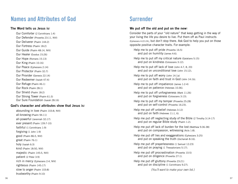# Names and Attributes of God

#### The Word tells us Jesus is:

Our Comforter (2 Corinthians 1:4) Our Defender (Proverbs 23:11, NIV) Our Deliverer (Psalm 144:2) Our Fortress (Psalm 18:2) Our Guide (Psalm 48:14, NIV) Our Healer (Exodus 15:26) Our Hope (Romans 15:13) Our King (Psalm 10:16) Our Peace (Ephesians 2:14) Our Protector (Psalm 32:7) Our Provider (Genesis 22:14) Our Redeemer (Isaiah 47:4) Our Refuge (Psalm 46:1) Our Rock (Psalm 28:1) Our Shield (Psalm 18:2) Our Strong Tower (Psalm 61:3) Our Sure Foundation (Isaiah 28:16)

#### God's character and attributes show that Jesus is:

abounding in love (Psalm 103:8, NIV) all-knowing (Psalm 94:11) all-powerful (Jeremiah 32:17) ever present (Psalm 139:7-10) faithful (1 Corinthians 1:9) forgiving (1 John 1:9) good (Psalm 86:5, NIV) great (Psalm 76:1) holy (Isaiah 6:3) kind (Psalm 18:50, NIV) majestic (Psalm 145:5, NIV) patient (2 Peter 3:9) rich in mercy (Ephesians 2:4, NIV) righteous (Psalm 145:17) slow to anger (Psalm 103:8) trustworthy (Psalm 9:10)

# Surrender

#### We put off the old and put on the new:

Consider the parts of your "old nature" that keep getting in the way of your living the life you desire to live. Put them off as Paul instructs (Ephesians 4:22-24), but don't stop there. Ask God to help you put on those opposite positive character traits. For example:

Help me to put off pride (Proverbs 16:5) and put on humility (James 4:6).

Help me to put off my critical nature (Galatians 5:15) and put on kindness (Colossians 3:12).

Help me to put off lack of love (John 4:7, 8, 20) and put on unconditional love (John 15:12).

Help me to put off worry (John 14:1a) and put on faith and trust in God (John 14:1b).

Help me to put off impatience (James 1:2-4) and put on patience (Hebrews 10:36).

Help me to put off unforgiveness (Mark 11:26) and put on forgiveness (Colossians 3:13).

Help me to put off my temper (Proverbs 25:28) and put on self-control (Proverbs 16:23).

Help me put off unbelief (Hebrews 3:12) and put on faith (Hebrews 11:1, 6).

Help me put off neglecting study of the Bible (2 Timothy 3:14-17) and put on regular Bible study (Psalm 1:2).

Help me put off lack of burden for the lost (Matthew 9:36-38) and put on compassion, witnessing (Acts 1:8).

Help me put off lies and exaggerations (Ephesians 3:25) and put on speaking the truth (Zechariah 8:16).

Help me put off prayerlessness (1 Samuel 12:23) and put on praying (1 Thessalonians 5:17).

Help me put off procrastination (Proverbs 10:5) and put on diligence (Proverbs 27:1).

Help me put off gluttony (Proverbs 23:21) and put on discipline (1 Corinthians 9:27).

(You'll want to make your own list.)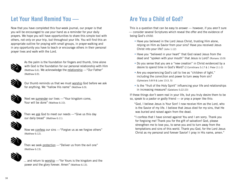# Let Your Hand Remind You —

Now that you have completed this four-week journal, our prayer is that you will be encouraged to use your hand as a reminder for your daily prayers. We hope you will have opportunities to share this simple tool with others, not only on your trip, but throughout your life. You will find this an appropriate outline for praying with small groups, in prayer-walking and in any opportunity you have to teach or encourage others in their personal prayer lives and walk with the Lord.



As the palm is the foundation for fingers and thumb, time alone with God is the foundation for our personal relationship with Him (Matthew 6:6). We acknowledge the relationship —"Our Father" (Matthew 6:9).



Our thumb reminds us that we must worship God before we ask for anything. We "hallow His name" (Matthew 6:9).



Next we surrender our lives —"Your kingdom come, Your will be done" (Matthew 6:10).



Then we ask God to meet our needs —"Give us this day our daily bread" (Matthew 6:11).



Now we confess our sins —"Forgive us as we forgive others" (Matthew 6:12).



Then we seek protection —"Deliver us from the evil one" (Matthew 6:13).



... and return to worship — "for Yours is the kingdom and the power and the glory forever. Amen" (Matthew 6:13).

# Are You a Child of God?

This is a question that can be easy to answer — however, if you aren't sure — consider several Scriptures which reveal the offer and the evidence of being God's child:

- Have you believed in the Lord Jesus Christ, trusting Him alone, relying on Him as Savior from your sins? Have you received Jesus Christ into your life? (John 1:12)
- Have you "believed in your heart" that God raised Jesus from the dead and "spoken with your mouth" that Jesus is Lord? (Romans 10:9)
- Do you sense that you are a "new creation" in Christ evidenced by a desire to spend time in God's Word? (2 Corinthians 5:17 & 1 Peter 2:1-2)
- Are you experiencing God's call to live as "children of light," including the conviction and power to turn away from sin? (Ephesians 5:8-9 & Luke 13:3, 5)
- Is the "fruit of the Holy Spirit" influencing your life and relationships in increasing measure? (Galatians 5:22-23)

If these things don't seem real in your life, but you truly desire them to be so, speak to a pastor or godly friend — or pray a prayer like this:

"God, I believe Jesus is Your Son! I now receive Him as the Lord, who is the Savior of my life. I believe that Jesus died for my sins, that He was buried and raised again from the dead.

"I confess that I have sinned against You and I am sorry. Thank you for forgiving me! Thank you for the gift of salvation! God, please strengthen me to love you, to serve you and to turn away from the temptations and sins of this world. Thank you God, for the Lord Jesus Christ as my personal and forever Savior! I pray in His name, amen."